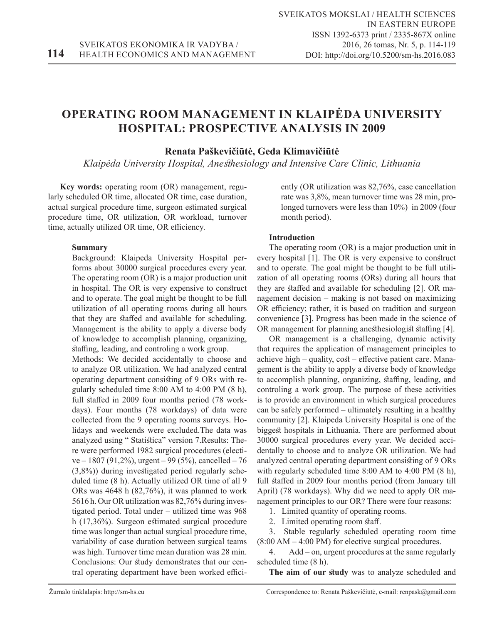# **OPERATING ROOM MANAGEMENT IN KLAIPĖDA UNIVERSITY HOSPITAL: PROSPECTIVE ANALYSIS IN 2009**

# **Renata Paškevičiūtė, Geda Klimavičiūtė**

*Klaipėda University Hospital, Anesthesiology and Intensive Care Clinic, Lithuania*

**Key words:** operating room (OR) management, regularly scheduled OR time, allocated OR time, case duration, actual surgical procedure time, surgeon estimated surgical procedure time, OR utilization, OR workload, turnover time, actually utilized OR time, OR efficiency.

# **Summary**

Background: Klaipeda University Hospital performs about 30000 surgical procedures every year. The operating room (OR) is a major production unit in hospital. The OR is very expensive to construct and to operate. The goal might be thought to be full utilization of all operating rooms during all hours that they are staffed and available for scheduling. Management is the ability to apply a diverse body of knowledge to accomplish planning, organizing, staffing, leading, and controling a work group.

Methods: We decided accidentally to choose and to analyze OR utilization. We had analyzed central operating department consisting of 9 ORs with regularly scheduled time 8:00 AM to 4:00 PM (8 h), full staffed in 2009 four months period (78 workdays). Four months (78 workdays) of data were collected from the 9 operating rooms surveys. Holidays and weekends were excluded.The data was analyzed using " Statistica" version 7.Results: There were performed 1982 surgical procedures (electi $ve - 1807 (91,2\%)$ , urgent – 99 (5%), cancelled – 76 (3,8%)) during investigated period regularly scheduled time (8 h). Actually utilized OR time of all 9 ORs was 4648 h (82,76%), it was planned to work 5616 h. Our OR utilization was 82,76% during investigated period. Total under – utilized time was 968 h (17,36%). Surgeon estimated surgical procedure time was longer than actual surgical procedure time, variability of case duration between surgical teams was high. Turnover time mean duration was 28 min. Conclusions: Our study demonstrates that our central operating department have been worked efficiently (OR utilization was 82,76%, case cancellation rate was 3,8%, mean turnover time was 28 min, prolonged turnovers were less than 10%) in 2009 (four month period).

# **Introduction**

The operating room (OR) is a major production unit in every hospital [1]. The OR is very expensive to construct and to operate. The goal might be thought to be full utilization of all operating rooms (ORs) during all hours that they are staffed and available for scheduling [2]. OR management decision – making is not based on maximizing OR efficiency; rather, it is based on tradition and surgeon convenience [3]. Progress has been made in the science of OR management for planning anesthesiologist staffing [4].

OR management is a challenging, dynamic activity that requires the application of management principles to achieve high – quality, cost – effective patient care. Management is the ability to apply a diverse body of knowledge to accomplish planning, organizing, staffing, leading, and controling a work group. The purpose of these activities is to provide an environment in which surgical procedures can be safely performed – ultimately resulting in a healthy community [2]. Klaipeda University Hospital is one of the biggest hospitals in Lithuania. There are performed about 30000 surgical procedures every year. We decided accidentally to choose and to analyze OR utilization. We had analyzed central operating department consisting of 9 ORs with regularly scheduled time 8:00 AM to 4:00 PM (8 h), full staffed in 2009 four months period (from January till April) (78 workdays). Why did we need to apply OR management principles to our OR? There were four reasons:

1. Limited quantity of operating rooms.

2. Limited operating room staff.

3. Stable regularly scheduled operating room time  $(8:00 \text{ AM} - 4:00 \text{ PM})$  for elective surgical procedures.

4. Add – on, urgent procedures at the same regularly scheduled time (8 h).

**The aim of our study** was to analyze scheduled and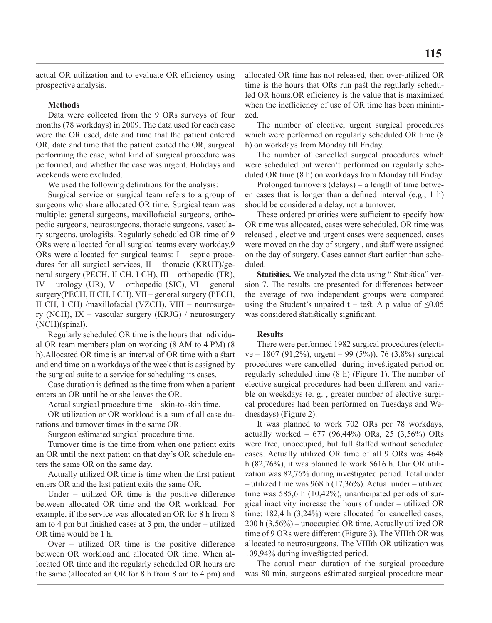## **Methods**

Data were collected from the 9 ORs surveys of four months (78 workdays) in 2009. The data used for each case were the OR used, date and time that the patient entered OR, date and time that the patient exited the OR, surgical performing the case, what kind of surgical procedure was performed, and whether the case was urgent. Holidays and weekends were excluded.

We used the following definitions for the analysis:

Surgical service or surgical team refers to a group of surgeons who share allocated OR time. Surgical team was multiple: general surgeons, maxillofacial surgeons, orthopedic surgeons, neurosurgeons, thoracic surgeons, vasculary surgeons, urologists. Regularly scheduled OR time of 9 ORs were allocated for all surgical teams every workday.9 ORs were allocated for surgical teams: I – septic procedures for all surgical services, II – thoracic (KRUT)/general surgery (PECH, II CH, I CH), III – orthopedic (TR), IV – urology (UR), V – orthopedic (SIC), VI – general surgery(PECH, II CH, I CH), VII – general surgery (PECH, II CH, I CH) /maxillofacial (VZCH), VIII – neurosurgery (NCH), IX – vascular surgery (KRJG) / neurosurgery (NCH)(spinal).

Regularly scheduled OR time is the hours that individual OR team members plan on working (8 AM to 4 PM) (8 h).Allocated OR time is an interval of OR time with a start and end time on a workdays of the week that is assigned by the surgical suite to a service for scheduling its cases.

Case duration is defined as the time from when a patient enters an OR until he or she leaves the OR.

Actual surgical procedure time – skin-to-skin time.

OR utilization or OR workload is a sum of all case durations and turnover times in the same OR.

Surgeon estimated surgical procedure time.

Turnover time is the time from when one patient exits an OR until the next patient on that day's OR schedule enters the same OR on the same day.

Actually utilized OR time is time when the first patient enters OR and the last patient exits the same OR.

Under – utilized OR time is the positive difference between allocated OR time and the OR workload. For example, if the service was allocated an OR for 8 h from 8 am to 4 pm but finished cases at 3 pm, the under – utilized OR time would be 1 h.

Over – utilized OR time is the positive difference between OR workload and allocated OR time. When allocated OR time and the regularly scheduled OR hours are the same (allocated an OR for 8 h from 8 am to 4 pm) and

allocated OR time has not released, then over-utilized OR time is the hours that ORs run past the regularly scheduled OR hours.OR efficiency is the value that is maximized when the inefficiency of use of OR time has been minimized.

The number of elective, urgent surgical procedures which were performed on regularly scheduled OR time (8 h) on workdays from Monday till Friday.

The number of cancelled surgical procedures which were scheduled but weren't performed on regularly scheduled OR time (8 h) on workdays from Monday till Friday.

Prolonged turnovers (delays) – a length of time between cases that is longer than a defined interval (e.g., 1 h) should be considered a delay, not a turnover.

These ordered priorities were sufficient to specify how OR time was allocated, cases were scheduled, OR time was released , elective and urgent cases were sequenced, cases were moved on the day of surgery , and staff were assigned on the day of surgery. Cases cannot start earlier than scheduled.

**Statistics.** We analyzed the data using " Statistica" version 7. The results are presented for differences between the average of two independent groups were compared using the Student's unpaired t – test. A p value of  $\leq 0.05$ was considered statistically significant.

#### **Results**

There were performed 1982 surgical procedures (elective – 1807 (91,2%), urgent – 99 (5%)), 76 (3,8%) surgical procedures were cancelled during investigated period on regularly scheduled time (8 h) (Figure 1). The number of elective surgical procedures had been different and variable on weekdays (e. g. , greater number of elective surgical procedures had been performed on Tuesdays and Wednesdays) (Figure 2).

It was planned to work 702 ORs per 78 workdays, actually worked – 677 (96,44%) ORs, 25 (3,56%) ORs were free, unoccupied, but full staffed without scheduled cases. Actually utilized OR time of all 9 ORs was 4648 h (82,76%), it was planned to work 5616 h. Our OR utilization was 82,76% during investigated period. Total under – utilized time was 968 h (17,36%). Actual under – utilized time was 585,6 h (10,42%), unanticipated periods of surgical inactivity increase the hours of under – utilized OR time: 182,4 h (3,24%) were allocated for cancelled cases, 200 h (3,56%) – unoccupied OR time. Actually utilized OR time of 9 ORs were different (Figure 3). The VIIIth OR was allocated to neurosurgeons. The VIIIth OR utilization was 109,94% during investigated period.

The actual mean duration of the surgical procedure was 80 min, surgeons estimated surgical procedure mean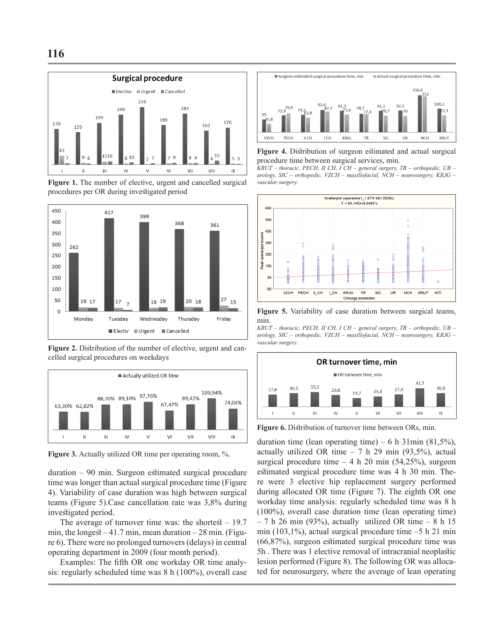

**Figure 1.** The number of elective, urgent and cancelled surgical procedures per OR during investigated period



**Figure 2.** Distribution of the number of elective, urgent and cancelled surgical procedures on weekdays



Figure 3. Actually utilized OR time per operating room, %.

duration – 90 min. Surgeon estimated surgical procedure time was longer than actual surgical procedure time (Figure 4). Variability of case duration was high between surgical teams (Figure 5).Case cancellation rate was 3,8% during investigated period.

The average of turnover time was: the shortest  $-19.7$ min, the longest  $-41.7$  min, mean duration  $-28$  min. (Figure 6). There were no prolonged turnovers (delays) in central operating department in 2009 (four month period).

Examples: The fifth OR one workday OR time analysis: regularly scheduled time was 8 h (100%), overall case



**Figure 4.** Distribution of surgeon estimated and actual surgical procedure time between surgical services, min.

*KRUT – thoracic, PECH, II CH, I CH – general surgery, TR – orthopedic, UR – urology, SIC – orthopedic, VZCH – maxillofacial, NCH – neurosurgery, KRJG – vascular surgery.*



**Figure 5.** Variability of case duration between surgical teams, min.

*KRUT – thoracic, PECH, II CH, I CH – general surgery, TR – orthopedic, UR – urology, SIC – orthopedic, VZCH – maxillofacial, NCH – neurosurgery, KRJG – vascular surgery.*



**Figure 6.** Distribution of turnover time between ORs, min.

duration time (lean operating time) – 6 h 31min (81,5%), actually utilized OR time  $-7$  h 29 min (93,5%), actual surgical procedure time  $-4 h 20$  min (54,25%), surgeon estimated surgical procedure time was 4 h 30 min. There were 3 elective hip replacement surgery performed during allocated OR time (Figure 7). The eighth OR one workday time analysis: regularly scheduled time was 8 h (100%), overall case duration time (lean operating time)  $-7$  h 26 min (93%), actually utilized OR time  $-8$  h 15 min (103,1%), actual surgical procedure time  $-5$  h 21 min (66,87%), surgeon estimated surgical procedure time was 5h . There was 1 elective removal of intracranial neoplastic lesion performed (Figure 8). The following OR was allocated for neurosurgery, where the average of lean operating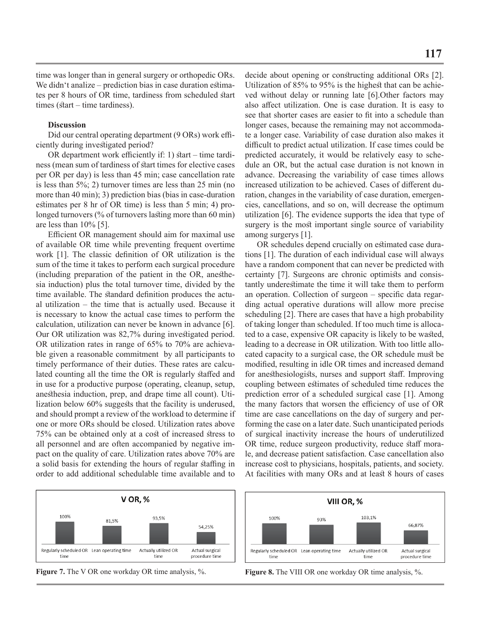time was longer than in general surgery or orthopedic ORs. We didn't analize – prediction bias in case duration estimates per 8 hours of OR time, tardiness from scheduled start times (start – time tardiness).

# **Discussion**

Did our central operating department (9 ORs) work efficiently during investigated period?

OR department work efficiently if: 1) start – time tardiness (mean sum of tardiness of start times for elective cases per OR per day) is less than 45 min; case cancellation rate is less than 5%; 2) turnover times are less than 25 min (no more than 40 min); 3) prediction bias (bias in case-duration estimates per 8 hr of OR time) is less than 5 min; 4) prolonged turnovers (% of turnovers lasting more than 60 min) are less than 10% [5].

Efficient OR management should aim for maximal use of available OR time while preventing frequent overtime work [1]. The classic definition of OR utilization is the sum of the time it takes to perform each surgical procedure (including preparation of the patient in the OR, anesthesia induction) plus the total turnover time, divided by the time available. The standard definition produces the actual utilization – the time that is actually used. Because it is necessary to know the actual case times to perform the calculation, utilization can never be known in advance [6]. Our OR utilization was 82,7% during investigated period. OR utilization rates in range of 65% to 70% are achievable given a reasonable commitment by all participants to timely performance of their duties. These rates are calculated counting all the time the OR is regularly staffed and in use for a productive purpose (operating, cleanup, setup, anesthesia induction, prep, and drape time all count). Utilization below 60% suggests that the facility is underused, and should prompt a review of the workload to determine if one or more ORs should be closed. Utilization rates above 75% can be obtained only at a cost of increased stress to all personnel and are often accompanied by negative impact on the quality of care. Utilization rates above 70% are a solid basis for extending the hours of regular staffing in order to add additional schedulable time available and to





decide about opening or constructing additional ORs [2]. Utilization of 85% to 95% is the highest that can be achieved without delay or running late [6].Other factors may also affect utilization. One is case duration. It is easy to see that shorter cases are easier to fit into a schedule than longer cases, because the remaining may not accommodate a longer case. Variability of case duration also makes it difficult to predict actual utilization. If case times could be predicted accurately, it would be relatively easy to schedule an OR, but the actual case duration is not known in advance. Decreasing the variability of case times allows increased utilization to be achieved. Cases of different duration, changes in the variability of case duration, emergencies, cancellations, and so on, will decrease the optimum utilization [6]. The evidence supports the idea that type of surgery is the most important single source of variability among surgerys [1].

OR schedules depend crucially on estimated case durations [1]. The duration of each individual case will always have a random component that can never be predicted with certainty [7]. Surgeons are chronic optimists and consistantly underestimate the time it will take them to perform an operation. Collection of surgeon – specific data regarding actual operative durations will allow more precise scheduling [2]. There are cases that have a high probability of taking longer than scheduled. If too much time is allocated to a case, expensive OR capacity is likely to be wasted, leading to a decrease in OR utilization. With too little allocated capacity to a surgical case, the OR schedule must be modified, resulting in idle OR times and increased demand for anesthesiologists, nurses and support staff. Improving coupling between estimates of scheduled time reduces the prediction error of a scheduled surgical case [1]. Among the many factors that worsen the efficiency of use of OR time are case cancellations on the day of surgery and performing the case on a later date. Such unanticipated periods of surgical inactivity increase the hours of underutilized OR time, reduce surgeon productivity, reduce staff morale, and decrease patient satisfaction. Case cancellation also increase cost to physicians, hospitals, patients, and society. At facilities with many ORs and at least 8 hours of cases

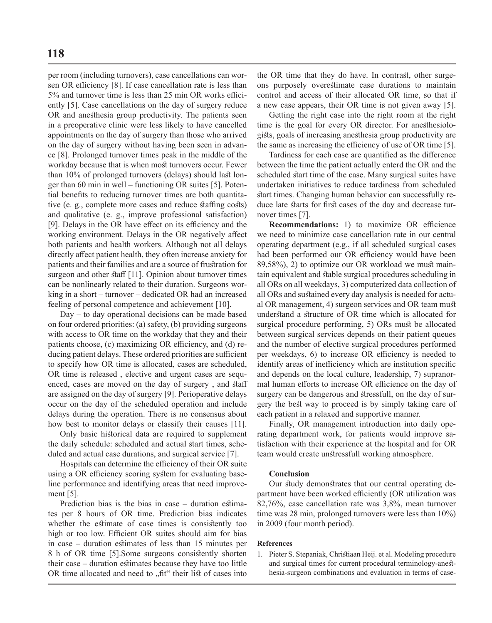per room (including turnovers), case cancellations can worsen OR efficiency [8]. If case cancellation rate is less than 5% and turnover time is less than 25 min OR works efficiently [5]. Case cancellations on the day of surgery reduce OR and anesthesia group productivity. The patients seen in a preoperative clinic were less likely to have cancelled appointments on the day of surgery than those who arrived on the day of surgery without having been seen in advance [8]. Prolonged turnover times peak in the middle of the workday because that is when most turnovers occur. Fewer than 10% of prolonged turnovers (delays) should last longer than 60 min in well – functioning OR suites [5]. Potential benefits to reducing turnover times are both quantitative (e. g., complete more cases and reduce staffing costs) and qualitative (e. g., improve professional satisfaction) [9]. Delays in the OR have effect on its efficiency and the working environment. Delays in the OR negatively affect both patients and health workers. Although not all delays directly affect patient health, they often increase anxiety for patients and their families and are a source of frustration for surgeon and other staff [11]. Opinion about turnover times can be nonlinearly related to their duration. Surgeons working in a short – turnover – dedicated OR had an increased feeling of personal competence and achievement [10].

Day – to day operational decisions can be made based on four ordered priorities: (a) safety, (b) providing surgeons with access to OR time on the workday that they and their patients choose, (c) maximizing OR efficiency, and (d) reducing patient delays. These ordered priorities are sufficient to specify how OR time is allocated, cases are scheduled, OR time is released , elective and urgent cases are sequenced, cases are moved on the day of surgery , and staff are assigned on the day of surgery [9]. Perioperative delays occur on the day of the scheduled operation and include delays during the operation. There is no consensus about how best to monitor delays or classify their causes [11].

Only basic historical data are required to supplement the daily schedule: scheduled and actual start times, scheduled and actual case durations, and surgical service [7].

Hospitals can determine the efficiency of their OR suite using a OR efficiency scoring system for evaluating baseline performance and identifying areas that need improvement [5].

Prediction bias is the bias in case – duration estimates per 8 hours of OR time. Prediction bias indicates whether the estimate of case times is consistently too high or too low. Efficient OR suites should aim for bias in case – duration estimates of less than 15 minutes per 8 h of OR time [5].Some surgeons consistently shorten their case – duration estimates because they have too little OR time allocated and need to "fit" their list of cases into

the OR time that they do have. In contrast, other surgeons purposely overestimate case durations to maintain control and access of their allocated OR time, so that if a new case appears, their OR time is not given away [5].

Getting the right case into the right room at the right time is the goal for every OR director. For anesthesiologists, goals of increasing anesthesia group productivity are the same as increasing the efficiency of use of OR time [5].

Tardiness for each case are quantified as the difference between the time the patient actually enterd the OR and the scheduled start time of the case. Many surgical suites have undertaken initiatives to reduce tardiness from scheduled start times. Changing human behavior can successfully reduce late starts for first cases of the day and decrease turnover times [7].

**Recommendations:** 1) to maximize OR efficience we need to minimize case cancellation rate in our central operating department (e.g., if all scheduled surgical cases had been performed our OR efficiency would have been 89,58%), 2) to optimize our OR workload we must maintain equivalent and stable surgical procedures scheduling in all ORs on all weekdays, 3) computerized data collection of all ORs and sustained every day analysis is needed for actual OR management, 4) surgeon services and OR team must understand a structure of OR time which is allocated for surgical procedure performing, 5) ORs must be allocated between surgical services depends on their patient queues and the number of elective surgical procedures performed per weekdays, 6) to increase OR efficiency is needed to identify areas of inefficiency which are institution specific and depends on the local culture, leadership, 7) supranormal human efforts to increase OR efficience on the day of surgery can be dangerous and stressfull, on the day of surgery the best way to proceed is by simply taking care of each patient in a relaxed and supportive manner.

Finally, OR management introduction into daily operating department work, for patients would improve satisfaction with their experience at the hospital and for OR team would create unstressfull working atmosphere.

# **Conclusion**

Our study demonstrates that our central operating department have been worked efficiently (OR utilization was 82,76%, case cancellation rate was 3,8%, mean turnover time was 28 min, prolonged turnovers were less than 10%) in 2009 (four month period).

#### **References**

1. Pieter S. Stepaniak, Christiaan Heij. et al. Modeling procedure and surgical times for current procedural terminology-anesthesia-surgeon combinations and evaluation in terms of case